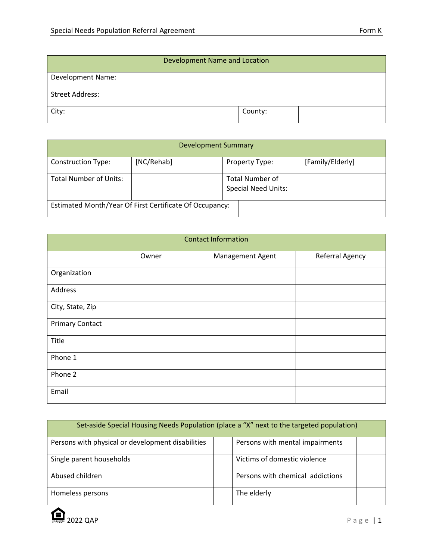| Development Name and Location |         |  |  |
|-------------------------------|---------|--|--|
| <b>Development Name:</b>      |         |  |  |
| <b>Street Address:</b>        |         |  |  |
| City:                         | County: |  |  |

| <b>Development Summary</b>                              |            |                                                      |                |                  |  |
|---------------------------------------------------------|------------|------------------------------------------------------|----------------|------------------|--|
| <b>Construction Type:</b>                               | [NC/Rehab] |                                                      | Property Type: | [Family/Elderly] |  |
| <b>Total Number of Units:</b>                           |            | <b>Total Number of</b><br><b>Special Need Units:</b> |                |                  |  |
| Estimated Month/Year Of First Certificate Of Occupancy: |            |                                                      |                |                  |  |

| <b>Contact Information</b> |       |                  |                 |  |  |
|----------------------------|-------|------------------|-----------------|--|--|
|                            | Owner | Management Agent | Referral Agency |  |  |
| Organization               |       |                  |                 |  |  |
| Address                    |       |                  |                 |  |  |
| City, State, Zip           |       |                  |                 |  |  |
| <b>Primary Contact</b>     |       |                  |                 |  |  |
| Title                      |       |                  |                 |  |  |
| Phone 1                    |       |                  |                 |  |  |
| Phone 2                    |       |                  |                 |  |  |
| Email                      |       |                  |                 |  |  |

| Set-aside Special Housing Needs Population (place a "X" next to the targeted population) |                                  |  |  |  |
|------------------------------------------------------------------------------------------|----------------------------------|--|--|--|
| Persons with physical or development disabilities                                        | Persons with mental impairments  |  |  |  |
| Single parent households                                                                 | Victims of domestic violence     |  |  |  |
| Abused children                                                                          | Persons with chemical addictions |  |  |  |
| Homeless persons                                                                         | The elderly                      |  |  |  |

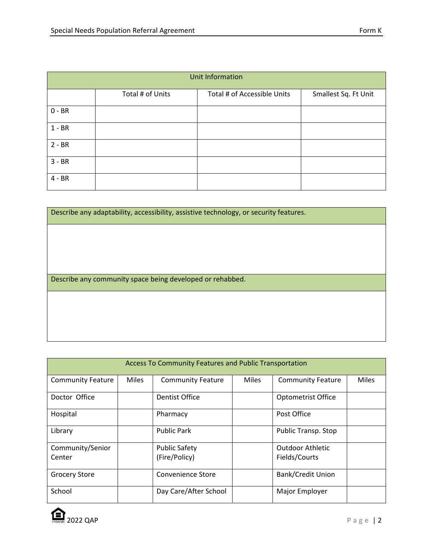| Unit Information |                  |                             |                      |  |  |
|------------------|------------------|-----------------------------|----------------------|--|--|
|                  | Total # of Units | Total # of Accessible Units | Smallest Sq. Ft Unit |  |  |
| $0 - BR$         |                  |                             |                      |  |  |
| $1 - BR$         |                  |                             |                      |  |  |
| $2 - BR$         |                  |                             |                      |  |  |
| $3 - BR$         |                  |                             |                      |  |  |
| $4 - BR$         |                  |                             |                      |  |  |

| Describe any adaptability, accessibility, assistive technology, or security features. |
|---------------------------------------------------------------------------------------|
|                                                                                       |
|                                                                                       |
|                                                                                       |
| Describe any community space being developed or rehabbed.                             |
|                                                                                       |
|                                                                                       |

| Access To Community Features and Public Transportation |              |                          |              |                          |              |
|--------------------------------------------------------|--------------|--------------------------|--------------|--------------------------|--------------|
| <b>Community Feature</b>                               | <b>Miles</b> | <b>Community Feature</b> | <b>Miles</b> | <b>Community Feature</b> | <b>Miles</b> |
| Doctor Office                                          |              | Dentist Office           |              | Optometrist Office       |              |
| Hospital                                               |              | Pharmacy                 |              | Post Office              |              |
| Library                                                |              | <b>Public Park</b>       |              | Public Transp. Stop      |              |
| Community/Senior                                       |              | <b>Public Safety</b>     |              | <b>Outdoor Athletic</b>  |              |
| Center                                                 |              | (Fire/Policy)            |              | Fields/Courts            |              |
| <b>Grocery Store</b>                                   |              | <b>Convenience Store</b> |              | Bank/Credit Union        |              |
| School                                                 |              | Day Care/After School    |              | Major Employer           |              |

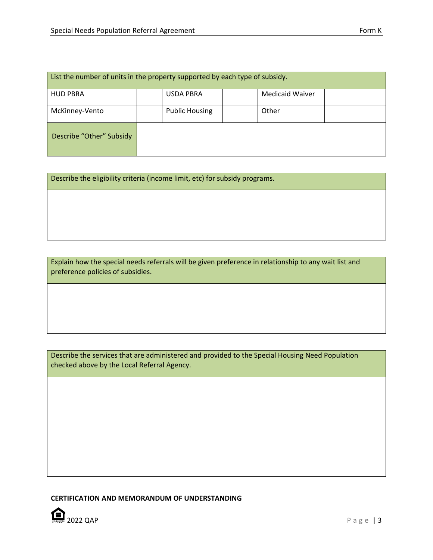| List the number of units in the property supported by each type of subsidy. |  |                       |  |                        |  |
|-----------------------------------------------------------------------------|--|-----------------------|--|------------------------|--|
| <b>HUD PBRA</b>                                                             |  | <b>USDA PBRA</b>      |  | <b>Medicaid Waiver</b> |  |
| McKinney-Vento                                                              |  | <b>Public Housing</b> |  | Other                  |  |
| Describe "Other" Subsidy                                                    |  |                       |  |                        |  |

Describe the eligibility criteria (income limit, etc) for subsidy programs.

Explain how the special needs referrals will be given preference in relationship to any wait list and preference policies of subsidies.

Describe the services that are administered and provided to the Special Housing Need Population checked above by the Local Referral Agency.

**CERTIFICATION AND MEMORANDUM OF UNDERSTANDING**

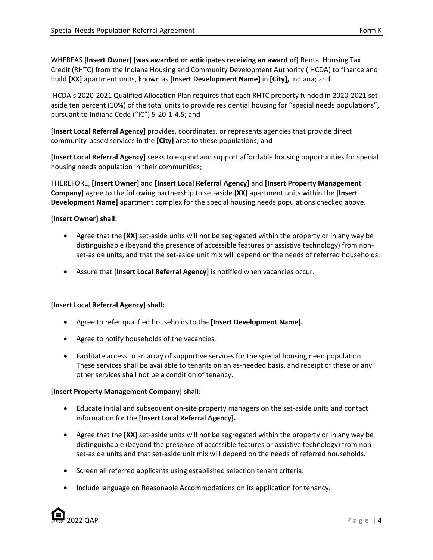WHEREAS **[Insert Owner] [was awarded or anticipates receiving an award of]** Rental Housing Tax Credit (RHTC) from the Indiana Housing and Community Development Authority (IHCDA) to finance and build **[XX]** apartment units, known as **[Insert Development Name]** in **[City],** Indiana; and

IHCDA's 2020-2021 Qualified Allocation Plan requires that each RHTC property funded in 2020-2021 setaside ten percent (10%) of the total units to provide residential housing for "special needs populations", pursuant to Indiana Code ("IC") 5-20-1-4.5; and

**[Insert Local Referral Agency]** provides, coordinates, or represents agencies that provide direct community-based services in the **[City]** area to these populations; and

**[Insert Local Referral Agency]** seeks to expand and support affordable housing opportunities for special housing needs population in their communities;

THEREFORE, **[Insert Owner]** and **[Insert Local Referral Agency]** and **[Insert Property Management Company]** agree to the following partnership to set-aside **[XX]** apartment units within the **[Insert Development Name]** apartment complex for the special housing needs populations checked above.

## **[Insert Owner] shall:**

- Agree that the **[XX]** set-aside units will not be segregated within the property or in any way be distinguishable (beyond the presence of accessible features or assistive technology) from nonset-aside units, and that the set-aside unit mix will depend on the needs of referred households.
- Assure that **[Insert Local Referral Agency]** is notified when vacancies occur.

## **[Insert Local Referral Agency] shall:**

- Agree to refer qualified households to the **[Insert Development Name].**
- Agree to notify households of the vacancies.
- Facilitate access to an array of supportive services for the special housing need population. These services shall be available to tenants on an as-needed basis, and receipt of these or any other services shall not be a condition of tenancy.

## **[Insert Property Management Company] shall:**

- Educate initial and subsequent on-site property managers on the set-aside units and contact information for the **[Insert Local Referral Agency].**
- Agree that the **[XX]** set-aside units will not be segregated within the property or in any way be distinguishable (beyond the presence of accessible features or assistive technology) from nonset-aside units and that set-aside unit mix will depend on the needs of referred households.
- Screen all referred applicants using established selection tenant criteria.
- Include language on Reasonable Accommodations on its application for tenancy.